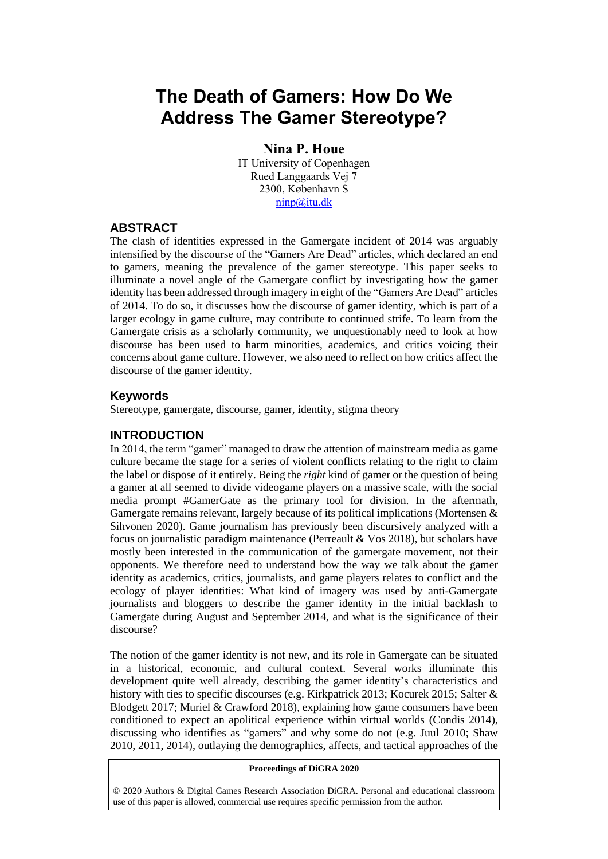# **The Death of Gamers: How Do We Address The Gamer Stereotype?**

**Nina P. Houe** IT University of Copenhagen Rued Langgaards Vej 7 2300, København S [ninp@itu.dk](mailto:ninp@itu.dk)

#### **ABSTRACT**

The clash of identities expressed in the Gamergate incident of 2014 was arguably intensified by the discourse of the "Gamers Are Dead" articles, which declared an end to gamers, meaning the prevalence of the gamer stereotype. This paper seeks to illuminate a novel angle of the Gamergate conflict by investigating how the gamer identity has been addressed through imagery in eight of the "Gamers Are Dead" articles of 2014. To do so, it discusses how the discourse of gamer identity, which is part of a larger ecology in game culture, may contribute to continued strife. To learn from the Gamergate crisis as a scholarly community, we unquestionably need to look at how discourse has been used to harm minorities, academics, and critics voicing their concerns about game culture. However, we also need to reflect on how critics affect the discourse of the gamer identity.

#### **Keywords**

Stereotype, gamergate, discourse, gamer, identity, stigma theory

#### **INTRODUCTION**

In 2014, the term "gamer" managed to draw the attention of mainstream media as game culture became the stage for a series of violent conflicts relating to the right to claim the label or dispose of it entirely. Being the *right* kind of gamer or the question of being a gamer at all seemed to divide videogame players on a massive scale, with the social media prompt #GamerGate as the primary tool for division. In the aftermath, Gamergate remains relevant, largely because of its political implications (Mortensen & Sihvonen 2020). Game journalism has previously been discursively analyzed with a focus on journalistic paradigm maintenance (Perreault & Vos 2018), but scholars have mostly been interested in the communication of the gamergate movement, not their opponents. We therefore need to understand how the way we talk about the gamer identity as academics, critics, journalists, and game players relates to conflict and the ecology of player identities: What kind of imagery was used by anti-Gamergate journalists and bloggers to describe the gamer identity in the initial backlash to Gamergate during August and September 2014, and what is the significance of their discourse?

The notion of the gamer identity is not new, and its role in Gamergate can be situated in a historical, economic, and cultural context. Several works illuminate this development quite well already, describing the gamer identity's characteristics and history with ties to specific discourses (e.g. Kirkpatrick 2013; Kocurek 2015; Salter & Blodgett 2017; Muriel & Crawford 2018), explaining how game consumers have been conditioned to expect an apolitical experience within virtual worlds (Condis 2014), discussing who identifies as "gamers" and why some do not (e.g. Juul 2010; Shaw 2010, 2011, 2014), outlaying the demographics, affects, and tactical approaches of the

#### **Proceedings of DiGRA 2020**

© 2020 Authors & Digital Games Research Association DiGRA. Personal and educational classroom use of this paper is allowed, commercial use requires specific permission from the author.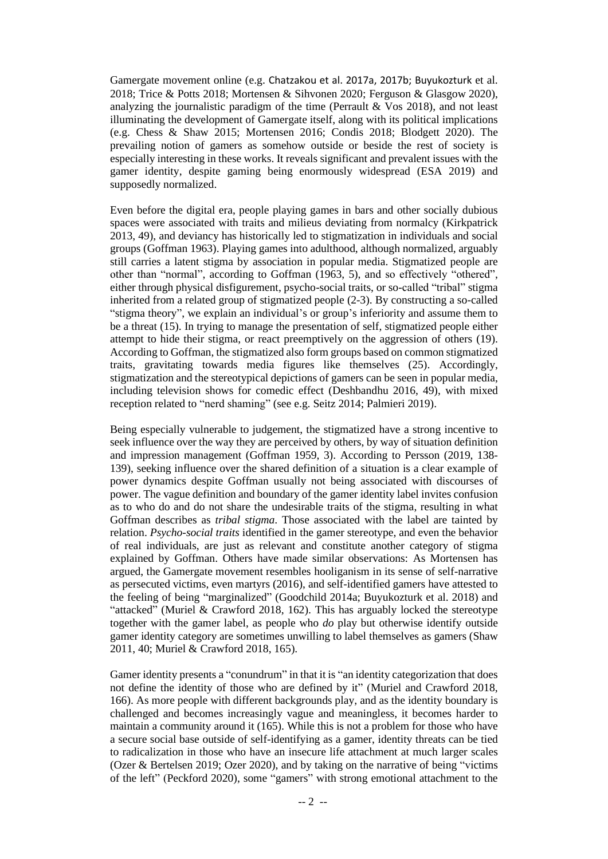Gamergate movement online (e.g. Chatzakou et al. 2017a, 2017b; Buyukozturk et al. 2018; Trice & Potts 2018; Mortensen & Sihvonen 2020; Ferguson & Glasgow 2020), analyzing the journalistic paradigm of the time (Perrault & Vos 2018), and not least illuminating the development of Gamergate itself, along with its political implications (e.g. Chess & Shaw 2015; Mortensen 2016; Condis 2018; Blodgett 2020). The prevailing notion of gamers as somehow outside or beside the rest of society is especially interesting in these works. It reveals significant and prevalent issues with the gamer identity, despite gaming being enormously widespread (ESA 2019) and supposedly normalized.

Even before the digital era, people playing games in bars and other socially dubious spaces were associated with traits and milieus deviating from normalcy (Kirkpatrick 2013, 49), and deviancy has historically led to stigmatization in individuals and social groups (Goffman 1963). Playing games into adulthood, although normalized, arguably still carries a latent stigma by association in popular media. Stigmatized people are other than "normal", according to Goffman (1963, 5), and so effectively "othered", either through physical disfigurement, psycho-social traits, or so-called "tribal" stigma inherited from a related group of stigmatized people (2-3). By constructing a so-called "stigma theory", we explain an individual's or group's inferiority and assume them to be a threat (15). In trying to manage the presentation of self, stigmatized people either attempt to hide their stigma, or react preemptively on the aggression of others (19). According to Goffman, the stigmatized also form groups based on common stigmatized traits, gravitating towards media figures like themselves (25). Accordingly, stigmatization and the stereotypical depictions of gamers can be seen in popular media, including television shows for comedic effect (Deshbandhu 2016, 49), with mixed reception related to "nerd shaming" (see e.g. Seitz 2014; Palmieri 2019).

Being especially vulnerable to judgement, the stigmatized have a strong incentive to seek influence over the way they are perceived by others, by way of situation definition and impression management (Goffman 1959, 3). According to Persson (2019, 138- 139), seeking influence over the shared definition of a situation is a clear example of power dynamics despite Goffman usually not being associated with discourses of power. The vague definition and boundary of the gamer identity label invites confusion as to who do and do not share the undesirable traits of the stigma, resulting in what Goffman describes as *tribal stigma*. Those associated with the label are tainted by relation. *Psycho-social traits* identified in the gamer stereotype, and even the behavior of real individuals, are just as relevant and constitute another category of stigma explained by Goffman. Others have made similar observations: As Mortensen has argued, the Gamergate movement resembles hooliganism in its sense of self-narrative as persecuted victims, even martyrs (2016), and self-identified gamers have attested to the feeling of being "marginalized" (Goodchild 2014a; Buyukozturk et al. 2018) and "attacked" (Muriel & Crawford 2018, 162). This has arguably locked the stereotype together with the gamer label, as people who *do* play but otherwise identify outside gamer identity category are sometimes unwilling to label themselves as gamers (Shaw 2011, 40; Muriel & Crawford 2018, 165).

Gamer identity presents a "conundrum" in that it is "an identity categorization that does not define the identity of those who are defined by it" (Muriel and Crawford 2018, 166). As more people with different backgrounds play, and as the identity boundary is challenged and becomes increasingly vague and meaningless, it becomes harder to maintain a community around it (165). While this is not a problem for those who have a secure social base outside of self-identifying as a gamer, identity threats can be tied to radicalization in those who have an insecure life attachment at much larger scales (Ozer & Bertelsen 2019; Ozer 2020), and by taking on the narrative of being "victims of the left" (Peckford 2020), some "gamers" with strong emotional attachment to the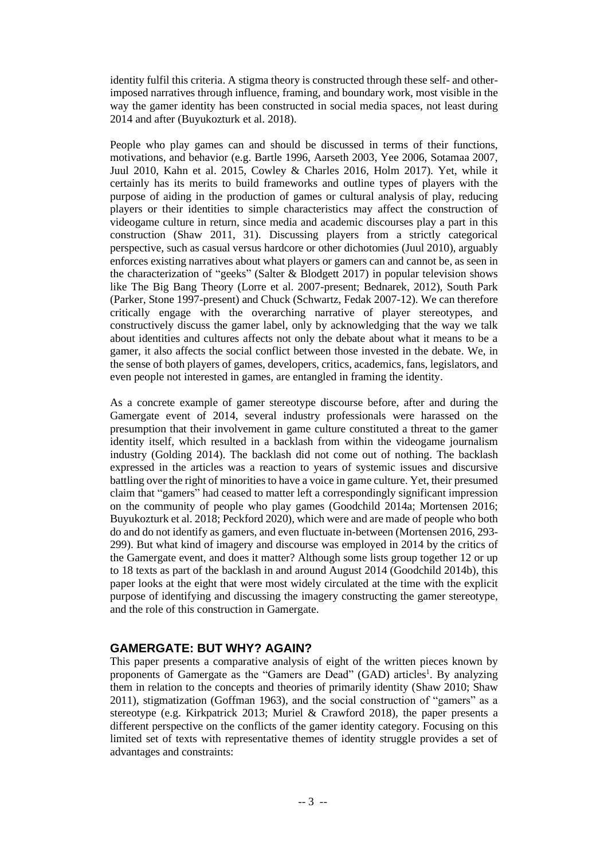identity fulfil this criteria. A stigma theory is constructed through these self- and otherimposed narratives through influence, framing, and boundary work, most visible in the way the gamer identity has been constructed in social media spaces, not least during 2014 and after (Buyukozturk et al. 2018).

People who play games can and should be discussed in terms of their functions, motivations, and behavior (e.g. Bartle 1996, Aarseth 2003, Yee 2006, Sotamaa 2007, Juul 2010, Kahn et al. 2015, Cowley & Charles 2016, Holm 2017). Yet, while it certainly has its merits to build frameworks and outline types of players with the purpose of aiding in the production of games or cultural analysis of play, reducing players or their identities to simple characteristics may affect the construction of videogame culture in return, since media and academic discourses play a part in this construction (Shaw 2011, 31). Discussing players from a strictly categorical perspective, such as casual versus hardcore or other dichotomies (Juul 2010), arguably enforces existing narratives about what players or gamers can and cannot be, as seen in the characterization of "geeks" (Salter & Blodgett 2017) in popular television shows like The Big Bang Theory (Lorre et al. 2007-present; Bednarek, 2012), South Park (Parker, Stone 1997-present) and Chuck (Schwartz, Fedak 2007-12). We can therefore critically engage with the overarching narrative of player stereotypes, and constructively discuss the gamer label, only by acknowledging that the way we talk about identities and cultures affects not only the debate about what it means to be a gamer, it also affects the social conflict between those invested in the debate. We, in the sense of both players of games, developers, critics, academics, fans, legislators, and even people not interested in games, are entangled in framing the identity.

As a concrete example of gamer stereotype discourse before, after and during the Gamergate event of 2014, several industry professionals were harassed on the presumption that their involvement in game culture constituted a threat to the gamer identity itself, which resulted in a backlash from within the videogame journalism industry (Golding 2014). The backlash did not come out of nothing. The backlash expressed in the articles was a reaction to years of systemic issues and discursive battling over the right of minorities to have a voice in game culture. Yet, their presumed claim that "gamers" had ceased to matter left a correspondingly significant impression on the community of people who play games (Goodchild 2014a; Mortensen 2016; Buyukozturk et al. 2018; Peckford 2020), which were and are made of people who both do and do not identify as gamers, and even fluctuate in-between (Mortensen 2016, 293- 299). But what kind of imagery and discourse was employed in 2014 by the critics of the Gamergate event, and does it matter? Although some lists group together 12 or up to 18 texts as part of the backlash in and around August 2014 (Goodchild 2014b), this paper looks at the eight that were most widely circulated at the time with the explicit purpose of identifying and discussing the imagery constructing the gamer stereotype, and the role of this construction in Gamergate.

## **GAMERGATE: BUT WHY? AGAIN?**

This paper presents a comparative analysis of eight of the written pieces known by proponents of Gamergate as the "Gamers are Dead" (GAD) articles<sup>1</sup>. By analyzing them in relation to the concepts and theories of primarily identity (Shaw 2010; Shaw 2011), stigmatization (Goffman 1963), and the social construction of "gamers" as a stereotype (e.g. Kirkpatrick 2013; Muriel & Crawford 2018), the paper presents a different perspective on the conflicts of the gamer identity category. Focusing on this limited set of texts with representative themes of identity struggle provides a set of advantages and constraints: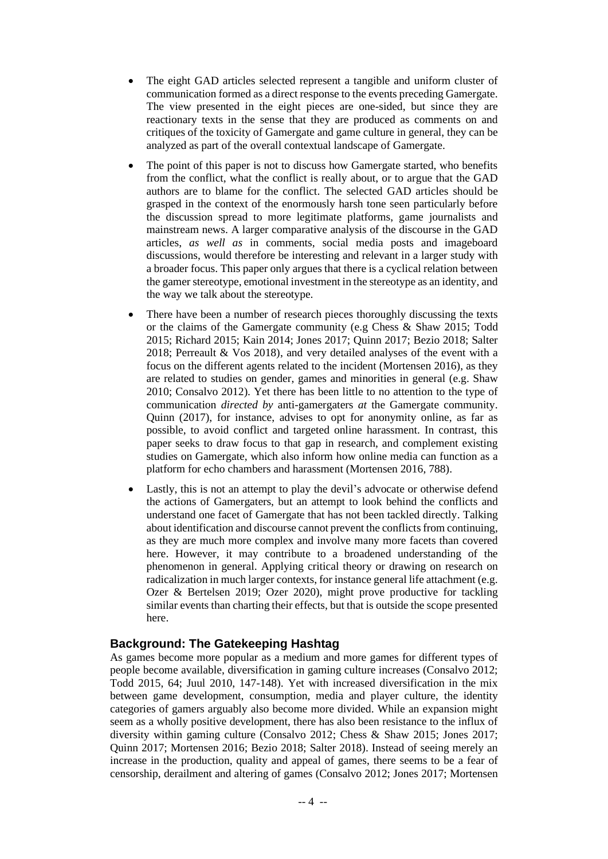- The eight GAD articles selected represent a tangible and uniform cluster of communication formed as a direct response to the events preceding Gamergate. The view presented in the eight pieces are one-sided, but since they are reactionary texts in the sense that they are produced as comments on and critiques of the toxicity of Gamergate and game culture in general, they can be analyzed as part of the overall contextual landscape of Gamergate.
- The point of this paper is not to discuss how Gamergate started, who benefits from the conflict, what the conflict is really about, or to argue that the GAD authors are to blame for the conflict. The selected GAD articles should be grasped in the context of the enormously harsh tone seen particularly before the discussion spread to more legitimate platforms, game journalists and mainstream news. A larger comparative analysis of the discourse in the GAD articles, *as well as* in comments, social media posts and imageboard discussions, would therefore be interesting and relevant in a larger study with a broader focus. This paper only argues that there is a cyclical relation between the gamer stereotype, emotional investment in the stereotype as an identity, and the way we talk about the stereotype.
- There have been a number of research pieces thoroughly discussing the texts or the claims of the Gamergate community (e.g Chess & Shaw 2015; Todd 2015; Richard 2015; Kain 2014; Jones 2017; Quinn 2017; Bezio 2018; Salter 2018; Perreault & Vos 2018), and very detailed analyses of the event with a focus on the different agents related to the incident (Mortensen 2016), as they are related to studies on gender, games and minorities in general (e.g. Shaw 2010; Consalvo 2012). Yet there has been little to no attention to the type of communication *directed by* anti-gamergaters *at* the Gamergate community. Quinn (2017), for instance, advises to opt for anonymity online, as far as possible, to avoid conflict and targeted online harassment. In contrast, this paper seeks to draw focus to that gap in research, and complement existing studies on Gamergate, which also inform how online media can function as a platform for echo chambers and harassment (Mortensen 2016, 788).
- Lastly, this is not an attempt to play the devil's advocate or otherwise defend the actions of Gamergaters, but an attempt to look behind the conflicts and understand one facet of Gamergate that has not been tackled directly. Talking about identification and discourse cannot prevent the conflicts from continuing, as they are much more complex and involve many more facets than covered here. However, it may contribute to a broadened understanding of the phenomenon in general. Applying critical theory or drawing on research on radicalization in much larger contexts, for instance general life attachment (e.g. Ozer & Bertelsen 2019; Ozer 2020), might prove productive for tackling similar events than charting their effects, but that is outside the scope presented here.

## **Background: The Gatekeeping Hashtag**

As games become more popular as a medium and more games for different types of people become available, diversification in gaming culture increases (Consalvo 2012; Todd 2015, 64; Juul 2010, 147-148). Yet with increased diversification in the mix between game development, consumption, media and player culture, the identity categories of gamers arguably also become more divided. While an expansion might seem as a wholly positive development, there has also been resistance to the influx of diversity within gaming culture (Consalvo 2012; Chess & Shaw 2015; Jones 2017; Quinn 2017; Mortensen 2016; Bezio 2018; Salter 2018). Instead of seeing merely an increase in the production, quality and appeal of games, there seems to be a fear of censorship, derailment and altering of games (Consalvo 2012; Jones 2017; Mortensen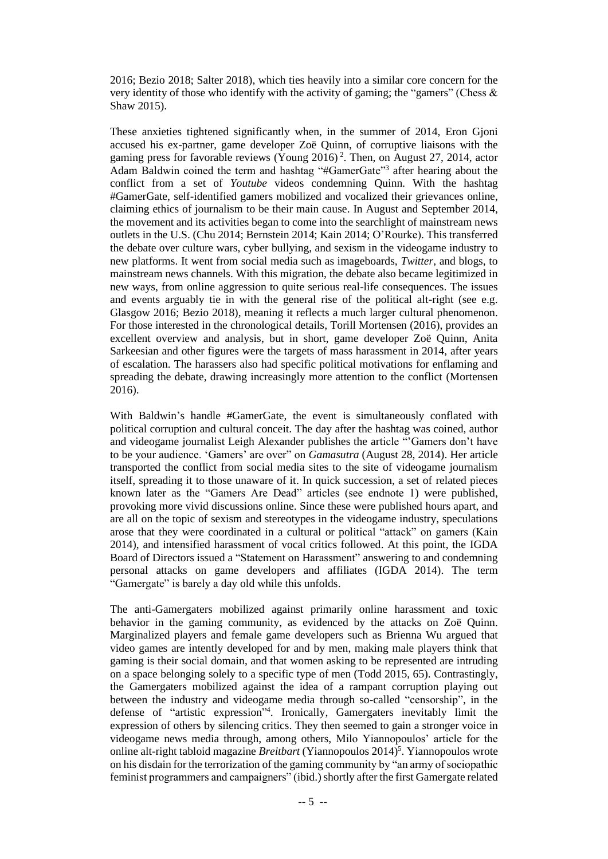2016; Bezio 2018; Salter 2018), which ties heavily into a similar core concern for the very identity of those who identify with the activity of gaming; the "gamers" (Chess & Shaw 2015).

These anxieties tightened significantly when, in the summer of 2014, Eron Gjoni accused his ex-partner, game developer Zoë Quinn, of corruptive liaisons with the gaming press for favorable reviews (Young 2016)<sup>2</sup>. Then, on August 27, 2014, actor Adam Baldwin coined the term and hashtag "#GamerGate"<sup>3</sup> after hearing about the conflict from a set of *Youtube* videos condemning Quinn. With the hashtag #GamerGate, self-identified gamers mobilized and vocalized their grievances online, claiming ethics of journalism to be their main cause. In August and September 2014, the movement and its activities began to come into the searchlight of mainstream news outlets in the U.S. (Chu 2014; Bernstein 2014; Kain 2014; O'Rourke). This transferred the debate over culture wars, cyber bullying, and sexism in the videogame industry to new platforms. It went from social media such as imageboards, *Twitter*, and blogs, to mainstream news channels. With this migration, the debate also became legitimized in new ways, from online aggression to quite serious real-life consequences. The issues and events arguably tie in with the general rise of the political alt-right (see e.g. Glasgow 2016; Bezio 2018), meaning it reflects a much larger cultural phenomenon. For those interested in the chronological details, Torill Mortensen (2016), provides an excellent overview and analysis, but in short, game developer Zoë Quinn, Anita Sarkeesian and other figures were the targets of mass harassment in 2014, after years of escalation. The harassers also had specific political motivations for enflaming and spreading the debate, drawing increasingly more attention to the conflict (Mortensen 2016).

With Baldwin's handle #GamerGate, the event is simultaneously conflated with political corruption and cultural conceit. The day after the hashtag was coined, author and videogame journalist Leigh Alexander publishes the article "'Gamers don't have to be your audience. 'Gamers' are over" on *Gamasutra* (August 28, 2014). Her article transported the conflict from social media sites to the site of videogame journalism itself, spreading it to those unaware of it. In quick succession, a set of related pieces known later as the "Gamers Are Dead" articles (see endnote 1) were published, provoking more vivid discussions online. Since these were published hours apart, and are all on the topic of sexism and stereotypes in the videogame industry, speculations arose that they were coordinated in a cultural or political "attack" on gamers (Kain 2014), and intensified harassment of vocal critics followed. At this point, the IGDA Board of Directors issued a "Statement on Harassment" answering to and condemning personal attacks on game developers and affiliates (IGDA 2014). The term "Gamergate" is barely a day old while this unfolds.

The anti-Gamergaters mobilized against primarily online harassment and toxic behavior in the gaming community, as evidenced by the attacks on Zoë Quinn. Marginalized players and female game developers such as Brienna Wu argued that video games are intently developed for and by men, making male players think that gaming is their social domain, and that women asking to be represented are intruding on a space belonging solely to a specific type of men (Todd 2015, 65). Contrastingly, the Gamergaters mobilized against the idea of a rampant corruption playing out between the industry and videogame media through so-called "censorship", in the defense of "artistic expression" 4 . Ironically, Gamergaters inevitably limit the expression of others by silencing critics. They then seemed to gain a stronger voice in videogame news media through, among others, Milo Yiannopoulos' article for the online alt-right tabloid magazine *Breitbart* (Yiannopoulos 2014)<sup>5</sup>. Yiannopoulos wrote on his disdain for the terrorization of the gaming community by "an army of sociopathic feminist programmers and campaigners" (ibid.) shortly after the first Gamergate related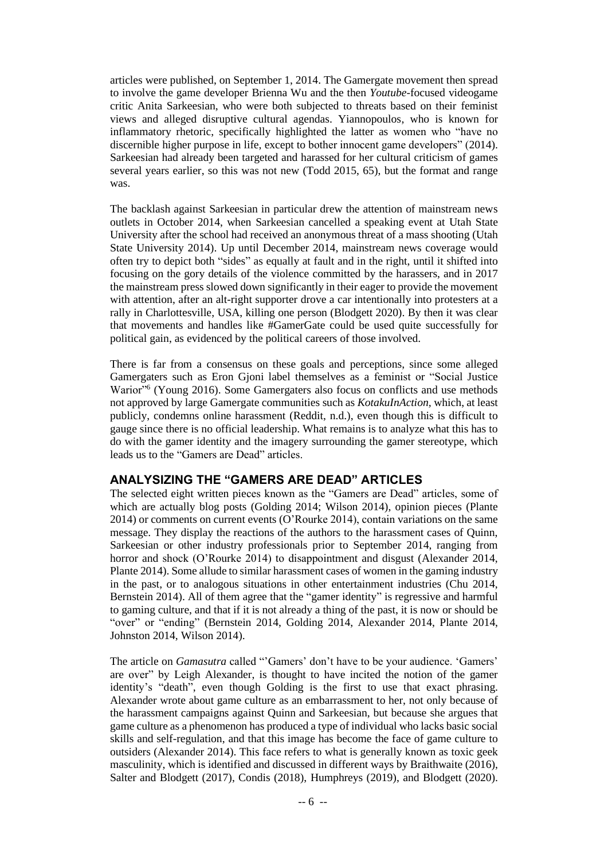articles were published, on September 1, 2014. The Gamergate movement then spread to involve the game developer Brienna Wu and the then *Youtube-*focused videogame critic Anita Sarkeesian, who were both subjected to threats based on their feminist views and alleged disruptive cultural agendas. Yiannopoulos, who is known for inflammatory rhetoric, specifically highlighted the latter as women who "have no discernible higher purpose in life, except to bother innocent game developers" (2014). Sarkeesian had already been targeted and harassed for her cultural criticism of games several years earlier, so this was not new (Todd 2015, 65), but the format and range was.

The backlash against Sarkeesian in particular drew the attention of mainstream news outlets in October 2014, when Sarkeesian cancelled a speaking event at Utah State University after the school had received an anonymous threat of a mass shooting (Utah State University 2014). Up until December 2014, mainstream news coverage would often try to depict both "sides" as equally at fault and in the right, until it shifted into focusing on the gory details of the violence committed by the harassers, and in 2017 the mainstream press slowed down significantly in their eager to provide the movement with attention, after an alt-right supporter drove a car intentionally into protesters at a rally in Charlottesville, USA, killing one person (Blodgett 2020). By then it was clear that movements and handles like #GamerGate could be used quite successfully for political gain, as evidenced by the political careers of those involved.

There is far from a consensus on these goals and perceptions, since some alleged Gamergaters such as Eron Gjoni label themselves as a feminist or "Social Justice Warior"<sup>6</sup> (Young 2016). Some Gamergaters also focus on conflicts and use methods not approved by large Gamergate communities such as *KotakuInAction,* which, at least publicly, condemns online harassment (Reddit, n.d.), even though this is difficult to gauge since there is no official leadership. What remains is to analyze what this has to do with the gamer identity and the imagery surrounding the gamer stereotype, which leads us to the "Gamers are Dead" articles.

## **ANALYSIZING THE "GAMERS ARE DEAD" ARTICLES**

The selected eight written pieces known as the "Gamers are Dead" articles, some of which are actually blog posts (Golding 2014; Wilson 2014), opinion pieces (Plante 2014) or comments on current events (O'Rourke 2014), contain variations on the same message. They display the reactions of the authors to the harassment cases of Quinn, Sarkeesian or other industry professionals prior to September 2014, ranging from horror and shock (O'Rourke 2014) to disappointment and disgust (Alexander 2014, Plante 2014). Some allude to similar harassment cases of women in the gaming industry in the past, or to analogous situations in other entertainment industries (Chu 2014, Bernstein 2014). All of them agree that the "gamer identity" is regressive and harmful to gaming culture, and that if it is not already a thing of the past, it is now or should be "over" or "ending" (Bernstein 2014, Golding 2014, Alexander 2014, Plante 2014, Johnston 2014, Wilson 2014).

The article on *Gamasutra* called "'Gamers' don't have to be your audience. 'Gamers' are over" by Leigh Alexander, is thought to have incited the notion of the gamer identity's "death", even though Golding is the first to use that exact phrasing. Alexander wrote about game culture as an embarrassment to her, not only because of the harassment campaigns against Quinn and Sarkeesian, but because she argues that game culture as a phenomenon has produced a type of individual who lacks basic social skills and self-regulation, and that this image has become the face of game culture to outsiders (Alexander 2014). This face refers to what is generally known as toxic geek masculinity, which is identified and discussed in different ways by Braithwaite (2016), Salter and Blodgett (2017), Condis (2018), Humphreys (2019), and Blodgett (2020).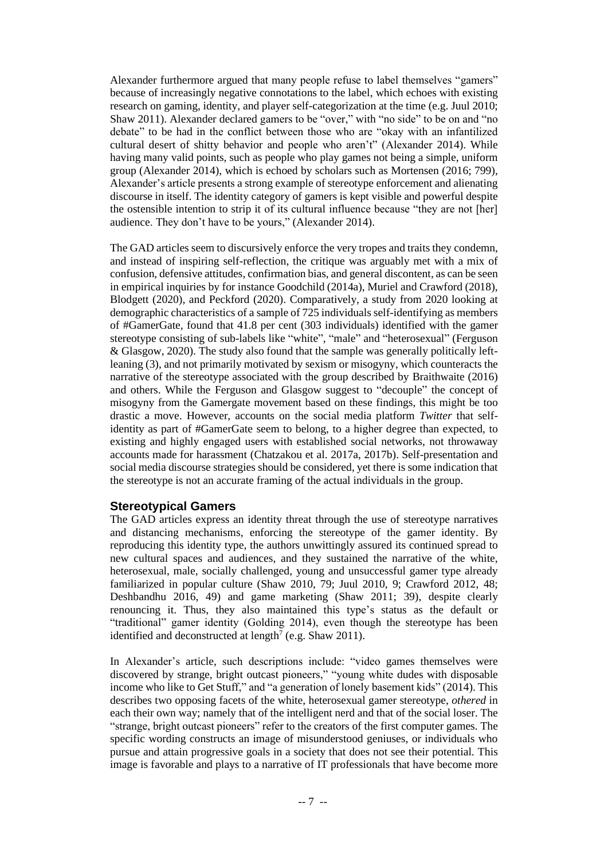Alexander furthermore argued that many people refuse to label themselves "gamers" because of increasingly negative connotations to the label, which echoes with existing research on gaming, identity, and player self-categorization at the time (e.g. Juul 2010; Shaw 2011). Alexander declared gamers to be "over," with "no side" to be on and "no debate" to be had in the conflict between those who are "okay with an infantilized cultural desert of shitty behavior and people who aren't" (Alexander 2014). While having many valid points, such as people who play games not being a simple, uniform group (Alexander 2014), which is echoed by scholars such as Mortensen (2016; 799), Alexander's article presents a strong example of stereotype enforcement and alienating discourse in itself. The identity category of gamers is kept visible and powerful despite the ostensible intention to strip it of its cultural influence because "they are not [her] audience. They don't have to be yours," (Alexander 2014).

The GAD articles seem to discursively enforce the very tropes and traits they condemn, and instead of inspiring self-reflection, the critique was arguably met with a mix of confusion, defensive attitudes, confirmation bias, and general discontent, as can be seen in empirical inquiries by for instance Goodchild (2014a), Muriel and Crawford (2018), Blodgett (2020), and Peckford (2020). Comparatively, a study from 2020 looking at demographic characteristics of a sample of 725 individuals self-identifying as members of #GamerGate, found that 41.8 per cent (303 individuals) identified with the gamer stereotype consisting of sub-labels like "white", "male" and "heterosexual" (Ferguson & Glasgow, 2020). The study also found that the sample was generally politically leftleaning (3), and not primarily motivated by sexism or misogyny, which counteracts the narrative of the stereotype associated with the group described by Braithwaite (2016) and others. While the Ferguson and Glasgow suggest to "decouple" the concept of misogyny from the Gamergate movement based on these findings, this might be too drastic a move. However, accounts on the social media platform *Twitter* that selfidentity as part of #GamerGate seem to belong, to a higher degree than expected, to existing and highly engaged users with established social networks, not throwaway accounts made for harassment (Chatzakou et al. 2017a, 2017b). Self-presentation and social media discourse strategies should be considered, yet there is some indication that the stereotype is not an accurate framing of the actual individuals in the group.

## **Stereotypical Gamers**

The GAD articles express an identity threat through the use of stereotype narratives and distancing mechanisms, enforcing the stereotype of the gamer identity. By reproducing this identity type, the authors unwittingly assured its continued spread to new cultural spaces and audiences, and they sustained the narrative of the white, heterosexual, male, socially challenged, young and unsuccessful gamer type already familiarized in popular culture (Shaw 2010, 79; Juul 2010, 9; Crawford 2012, 48; Deshbandhu 2016, 49) and game marketing (Shaw 2011; 39), despite clearly renouncing it. Thus, they also maintained this type's status as the default or "traditional" gamer identity (Golding 2014), even though the stereotype has been identified and deconstructed at length<sup>7</sup> (e.g. Shaw 2011).

In Alexander's article, such descriptions include: "video games themselves were discovered by strange, bright outcast pioneers," "young white dudes with disposable income who like to Get Stuff," and "a generation of lonely basement kids" (2014). This describes two opposing facets of the white, heterosexual gamer stereotype, *othered* in each their own way; namely that of the intelligent nerd and that of the social loser. The "strange, bright outcast pioneers" refer to the creators of the first computer games. The specific wording constructs an image of misunderstood geniuses, or individuals who pursue and attain progressive goals in a society that does not see their potential. This image is favorable and plays to a narrative of IT professionals that have become more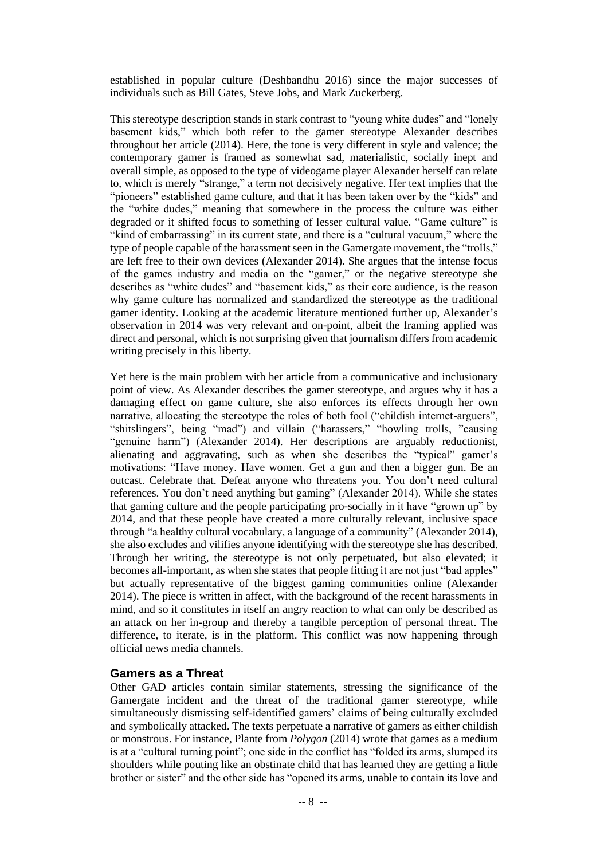established in popular culture (Deshbandhu 2016) since the major successes of individuals such as Bill Gates, Steve Jobs, and Mark Zuckerberg.

This stereotype description stands in stark contrast to "young white dudes" and "lonely basement kids," which both refer to the gamer stereotype Alexander describes throughout her article (2014). Here, the tone is very different in style and valence; the contemporary gamer is framed as somewhat sad, materialistic, socially inept and overall simple, as opposed to the type of videogame player Alexander herself can relate to, which is merely "strange," a term not decisively negative. Her text implies that the "pioneers" established game culture, and that it has been taken over by the "kids" and the "white dudes," meaning that somewhere in the process the culture was either degraded or it shifted focus to something of lesser cultural value. "Game culture" is "kind of embarrassing" in its current state, and there is a "cultural vacuum," where the type of people capable of the harassment seen in the Gamergate movement, the "trolls," are left free to their own devices (Alexander 2014). She argues that the intense focus of the games industry and media on the "gamer," or the negative stereotype she describes as "white dudes" and "basement kids," as their core audience, is the reason why game culture has normalized and standardized the stereotype as the traditional gamer identity. Looking at the academic literature mentioned further up, Alexander's observation in 2014 was very relevant and on-point, albeit the framing applied was direct and personal, which is not surprising given that journalism differs from academic writing precisely in this liberty.

Yet here is the main problem with her article from a communicative and inclusionary point of view. As Alexander describes the gamer stereotype, and argues why it has a damaging effect on game culture, she also enforces its effects through her own narrative, allocating the stereotype the roles of both fool ("childish internet-arguers", "shitslingers", being "mad") and villain ("harassers," "howling trolls, "causing "genuine harm") (Alexander 2014). Her descriptions are arguably reductionist, alienating and aggravating, such as when she describes the "typical" gamer's motivations: "Have money. Have women. Get a gun and then a bigger gun. Be an outcast. Celebrate that. Defeat anyone who threatens you. You don't need cultural references. You don't need anything but gaming" (Alexander 2014). While she states that gaming culture and the people participating pro-socially in it have "grown up" by 2014, and that these people have created a more culturally relevant, inclusive space through "a healthy cultural vocabulary, a language of a community" (Alexander 2014), she also excludes and vilifies anyone identifying with the stereotype she has described. Through her writing, the stereotype is not only perpetuated, but also elevated; it becomes all-important, as when she states that people fitting it are not just "bad apples" but actually representative of the biggest gaming communities online (Alexander 2014). The piece is written in affect, with the background of the recent harassments in mind, and so it constitutes in itself an angry reaction to what can only be described as an attack on her in-group and thereby a tangible perception of personal threat. The difference, to iterate, is in the platform. This conflict was now happening through official news media channels.

## **Gamers as a Threat**

Other GAD articles contain similar statements, stressing the significance of the Gamergate incident and the threat of the traditional gamer stereotype, while simultaneously dismissing self-identified gamers' claims of being culturally excluded and symbolically attacked. The texts perpetuate a narrative of gamers as either childish or monstrous. For instance, Plante from *Polygon* (2014) wrote that games as a medium is at a "cultural turning point"; one side in the conflict has "folded its arms, slumped its shoulders while pouting like an obstinate child that has learned they are getting a little brother or sister" and the other side has "opened its arms, unable to contain its love and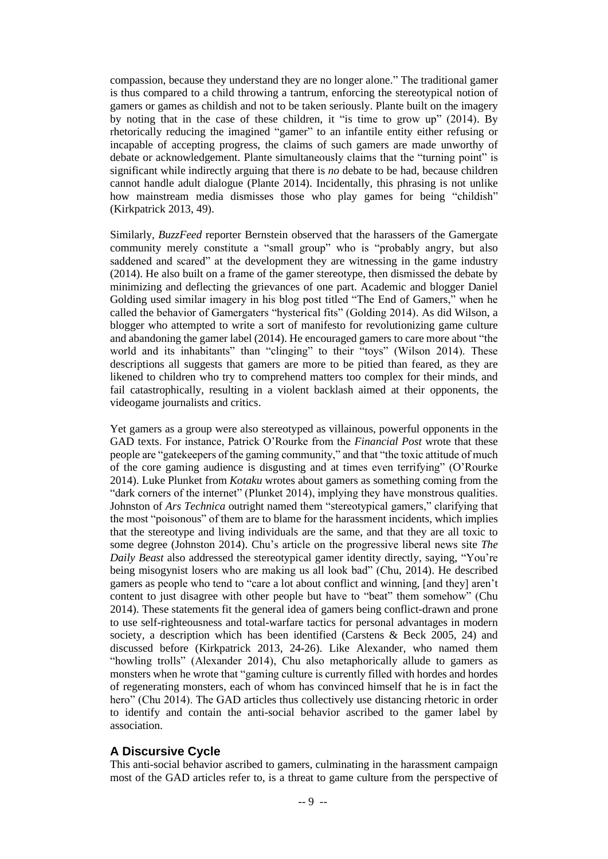compassion, because they understand they are no longer alone." The traditional gamer is thus compared to a child throwing a tantrum, enforcing the stereotypical notion of gamers or games as childish and not to be taken seriously. Plante built on the imagery by noting that in the case of these children, it "is time to grow up" (2014). By rhetorically reducing the imagined "gamer" to an infantile entity either refusing or incapable of accepting progress, the claims of such gamers are made unworthy of debate or acknowledgement. Plante simultaneously claims that the "turning point" is significant while indirectly arguing that there is *no* debate to be had, because children cannot handle adult dialogue (Plante 2014). Incidentally, this phrasing is not unlike how mainstream media dismisses those who play games for being "childish" (Kirkpatrick 2013, 49).

Similarly, *BuzzFeed* reporter Bernstein observed that the harassers of the Gamergate community merely constitute a "small group" who is "probably angry, but also saddened and scared" at the development they are witnessing in the game industry (2014). He also built on a frame of the gamer stereotype, then dismissed the debate by minimizing and deflecting the grievances of one part. Academic and blogger Daniel Golding used similar imagery in his blog post titled "The End of Gamers," when he called the behavior of Gamergaters "hysterical fits" (Golding 2014). As did Wilson, a blogger who attempted to write a sort of manifesto for revolutionizing game culture and abandoning the gamer label (2014). He encouraged gamers to care more about "the world and its inhabitants" than "clinging" to their "toys" (Wilson 2014). These descriptions all suggests that gamers are more to be pitied than feared, as they are likened to children who try to comprehend matters too complex for their minds, and fail catastrophically, resulting in a violent backlash aimed at their opponents, the videogame journalists and critics.

Yet gamers as a group were also stereotyped as villainous, powerful opponents in the GAD texts. For instance, Patrick O'Rourke from the *Financial Post* wrote that these people are "gatekeepers of the gaming community," and that "the toxic attitude of much of the core gaming audience is disgusting and at times even terrifying" (O'Rourke 2014). Luke Plunket from *Kotaku* wrotes about gamers as something coming from the "dark corners of the internet" (Plunket 2014), implying they have monstrous qualities. Johnston of *Ars Technica* outright named them "stereotypical gamers," clarifying that the most "poisonous" of them are to blame for the harassment incidents, which implies that the stereotype and living individuals are the same, and that they are all toxic to some degree (Johnston 2014). Chu's article on the progressive liberal news site *The Daily Beast* also addressed the stereotypical gamer identity directly, saying, "You're being misogynist losers who are making us all look bad" (Chu, 2014). He described gamers as people who tend to "care a lot about conflict and winning, [and they] aren't content to just disagree with other people but have to "beat" them somehow" (Chu 2014). These statements fit the general idea of gamers being conflict-drawn and prone to use self-righteousness and total-warfare tactics for personal advantages in modern society, a description which has been identified (Carstens & Beck 2005, 24) and discussed before (Kirkpatrick 2013, 24-26). Like Alexander, who named them "howling trolls" (Alexander 2014), Chu also metaphorically allude to gamers as monsters when he wrote that "gaming culture is currently filled with hordes and hordes of regenerating monsters, each of whom has convinced himself that he is in fact the hero" (Chu 2014). The GAD articles thus collectively use distancing rhetoric in order to identify and contain the anti-social behavior ascribed to the gamer label by association.

## **A Discursive Cycle**

This anti-social behavior ascribed to gamers, culminating in the harassment campaign most of the GAD articles refer to, is a threat to game culture from the perspective of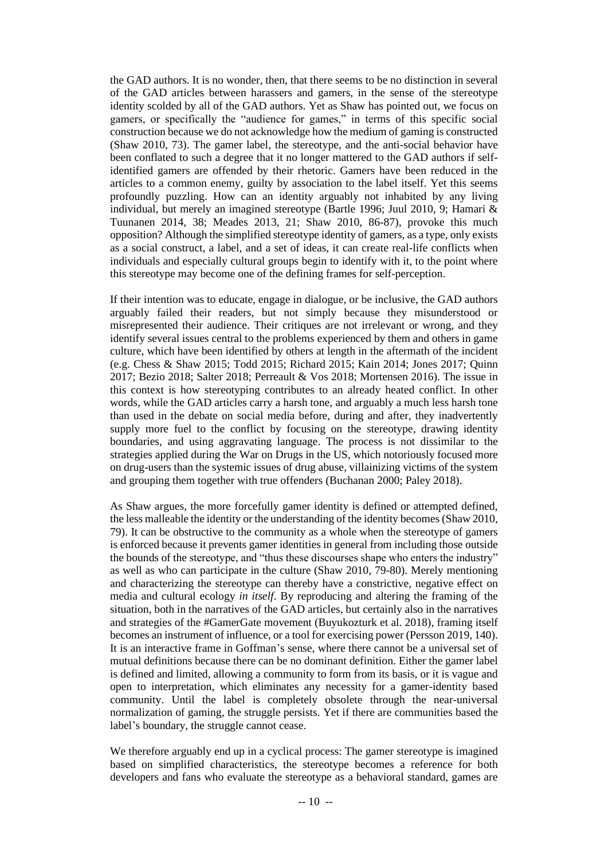the GAD authors. It is no wonder, then, that there seems to be no distinction in several of the GAD articles between harassers and gamers, in the sense of the stereotype identity scolded by all of the GAD authors. Yet as Shaw has pointed out, we focus on gamers, or specifically the "audience for games," in terms of this specific social construction because we do not acknowledge how the medium of gaming is constructed (Shaw 2010, 73). The gamer label, the stereotype, and the anti-social behavior have been conflated to such a degree that it no longer mattered to the GAD authors if selfidentified gamers are offended by their rhetoric. Gamers have been reduced in the articles to a common enemy, guilty by association to the label itself. Yet this seems profoundly puzzling. How can an identity arguably not inhabited by any living individual, but merely an imagined stereotype (Bartle 1996; Juul 2010, 9; Hamari & Tuunanen 2014, 38; Meades 2013, 21; Shaw 2010, 86-87), provoke this much opposition? Although the simplified stereotype identity of gamers, as a type, only exists as a social construct, a label, and a set of ideas, it can create real-life conflicts when individuals and especially cultural groups begin to identify with it, to the point where this stereotype may become one of the defining frames for self-perception.

If their intention was to educate, engage in dialogue, or be inclusive, the GAD authors arguably failed their readers, but not simply because they misunderstood or misrepresented their audience. Their critiques are not irrelevant or wrong, and they identify several issues central to the problems experienced by them and others in game culture, which have been identified by others at length in the aftermath of the incident (e.g. Chess & Shaw 2015; Todd 2015; Richard 2015; Kain 2014; Jones 2017; Quinn 2017; Bezio 2018; Salter 2018; Perreault & Vos 2018; Mortensen 2016). The issue in this context is how stereotyping contributes to an already heated conflict. In other words, while the GAD articles carry a harsh tone, and arguably a much less harsh tone than used in the debate on social media before, during and after, they inadvertently supply more fuel to the conflict by focusing on the stereotype, drawing identity boundaries, and using aggravating language. The process is not dissimilar to the strategies applied during the War on Drugs in the US, which notoriously focused more on drug-users than the systemic issues of drug abuse, villainizing victims of the system and grouping them together with true offenders (Buchanan 2000; Paley 2018).

As Shaw argues, the more forcefully gamer identity is defined or attempted defined, the less malleable the identity or the understanding of the identity becomes (Shaw 2010, 79). It can be obstructive to the community as a whole when the stereotype of gamers is enforced because it prevents gamer identities in general from including those outside the bounds of the stereotype, and "thus these discourses shape who enters the industry" as well as who can participate in the culture (Shaw 2010, 79-80). Merely mentioning and characterizing the stereotype can thereby have a constrictive, negative effect on media and cultural ecology *in itself*. By reproducing and altering the framing of the situation, both in the narratives of the GAD articles, but certainly also in the narratives and strategies of the #GamerGate movement (Buyukozturk et al. 2018), framing itself becomes an instrument of influence, or a tool for exercising power (Persson 2019, 140). It is an interactive frame in Goffman's sense, where there cannot be a universal set of mutual definitions because there can be no dominant definition. Either the gamer label is defined and limited, allowing a community to form from its basis, or it is vague and open to interpretation, which eliminates any necessity for a gamer-identity based community. Until the label is completely obsolete through the near-universal normalization of gaming, the struggle persists. Yet if there are communities based the label's boundary, the struggle cannot cease.

We therefore arguably end up in a cyclical process: The gamer stereotype is imagined based on simplified characteristics, the stereotype becomes a reference for both developers and fans who evaluate the stereotype as a behavioral standard, games are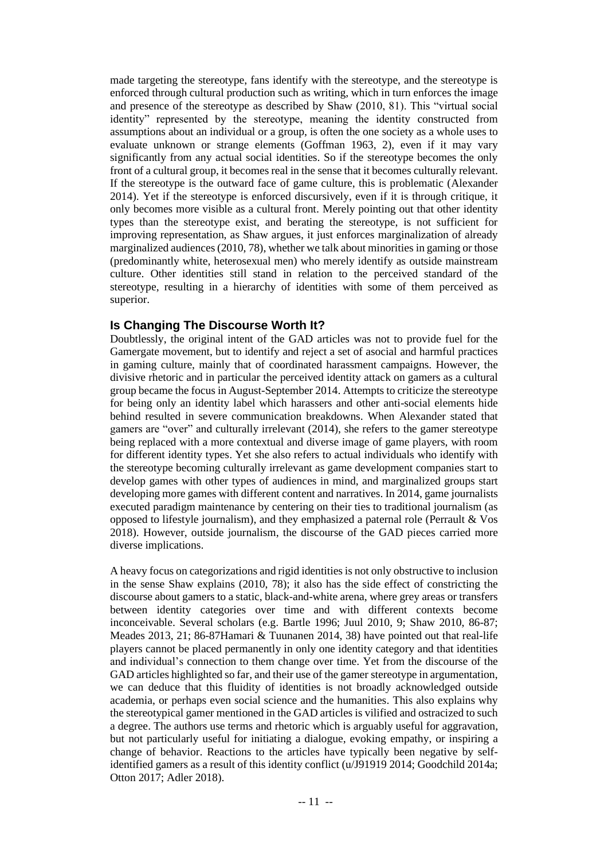made targeting the stereotype, fans identify with the stereotype, and the stereotype is enforced through cultural production such as writing, which in turn enforces the image and presence of the stereotype as described by Shaw (2010, 81). This "virtual social identity" represented by the stereotype, meaning the identity constructed from assumptions about an individual or a group, is often the one society as a whole uses to evaluate unknown or strange elements (Goffman 1963, 2), even if it may vary significantly from any actual social identities. So if the stereotype becomes the only front of a cultural group, it becomes real in the sense that it becomes culturally relevant. If the stereotype is the outward face of game culture, this is problematic (Alexander 2014). Yet if the stereotype is enforced discursively, even if it is through critique, it only becomes more visible as a cultural front. Merely pointing out that other identity types than the stereotype exist, and berating the stereotype, is not sufficient for improving representation, as Shaw argues, it just enforces marginalization of already marginalized audiences (2010, 78), whether we talk about minorities in gaming or those (predominantly white, heterosexual men) who merely identify as outside mainstream culture. Other identities still stand in relation to the perceived standard of the stereotype, resulting in a hierarchy of identities with some of them perceived as superior.

#### **Is Changing The Discourse Worth It?**

Doubtlessly, the original intent of the GAD articles was not to provide fuel for the Gamergate movement, but to identify and reject a set of asocial and harmful practices in gaming culture, mainly that of coordinated harassment campaigns. However, the divisive rhetoric and in particular the perceived identity attack on gamers as a cultural group became the focus in August-September 2014. Attempts to criticize the stereotype for being only an identity label which harassers and other anti-social elements hide behind resulted in severe communication breakdowns. When Alexander stated that gamers are "over" and culturally irrelevant (2014), she refers to the gamer stereotype being replaced with a more contextual and diverse image of game players, with room for different identity types. Yet she also refers to actual individuals who identify with the stereotype becoming culturally irrelevant as game development companies start to develop games with other types of audiences in mind, and marginalized groups start developing more games with different content and narratives. In 2014, game journalists executed paradigm maintenance by centering on their ties to traditional journalism (as opposed to lifestyle journalism), and they emphasized a paternal role (Perrault & Vos 2018). However, outside journalism, the discourse of the GAD pieces carried more diverse implications.

A heavy focus on categorizations and rigid identities is not only obstructive to inclusion in the sense Shaw explains (2010, 78); it also has the side effect of constricting the discourse about gamers to a static, black-and-white arena, where grey areas or transfers between identity categories over time and with different contexts become inconceivable. Several scholars (e.g. Bartle 1996; Juul 2010, 9; Shaw 2010, 86-87; Meades 2013, 21; 86-87Hamari & Tuunanen 2014, 38) have pointed out that real-life players cannot be placed permanently in only one identity category and that identities and individual's connection to them change over time. Yet from the discourse of the GAD articles highlighted so far, and their use of the gamer stereotype in argumentation, we can deduce that this fluidity of identities is not broadly acknowledged outside academia, or perhaps even social science and the humanities. This also explains why the stereotypical gamer mentioned in the GAD articles is vilified and ostracized to such a degree. The authors use terms and rhetoric which is arguably useful for aggravation, but not particularly useful for initiating a dialogue, evoking empathy, or inspiring a change of behavior. Reactions to the articles have typically been negative by selfidentified gamers as a result of this identity conflict [\(u/J91919](https://www.reddit.com/user/J91919/) 2014; Goodchild 2014a; Otton 2017; Adler 2018).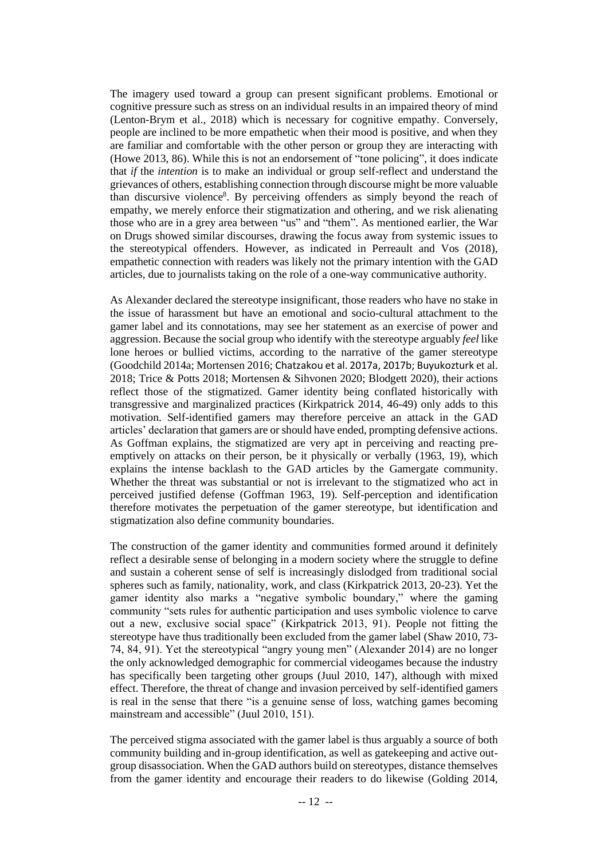The imagery used toward a group can present significant problems. Emotional or cognitive pressure such as stress on an individual results in an impaired theory of mind (Lenton-Brym et al., 2018) which is necessary for cognitive empathy. Conversely, people are inclined to be more empathetic when their mood is positive, and when they are familiar and comfortable with the other person or group they are interacting with (Howe 2013, 86). While this is not an endorsement of "tone policing", it does indicate that *if* the *intention* is to make an individual or group self-reflect and understand the grievances of others, establishing connection through discourse might be more valuable than discursive violence<sup>8</sup>. By perceiving offenders as simply beyond the reach of empathy, we merely enforce their stigmatization and othering, and we risk alienating those who are in a grey area between "us" and "them". As mentioned earlier, the War on Drugs showed similar discourses, drawing the focus away from systemic issues to the stereotypical offenders. However, as indicated in Perreault and Vos (2018), empathetic connection with readers was likely not the primary intention with the GAD articles, due to journalists taking on the role of a one-way communicative authority.

As Alexander declared the stereotype insignificant, those readers who have no stake in the issue of harassment but have an emotional and socio-cultural attachment to the gamer label and its connotations, may see her statement as an exercise of power and aggression. Because the social group who identify with the stereotype arguably *feel* like lone heroes or bullied victims, according to the narrative of the gamer stereotype (Goodchild 2014a; Mortensen 2016; Chatzakou et al. 2017a, 2017b; Buyukozturk et al. 2018; Trice & Potts 2018; Mortensen & Sihvonen 2020; Blodgett 2020), their actions reflect those of the stigmatized. Gamer identity being conflated historically with transgressive and marginalized practices (Kirkpatrick 2014, 46-49) only adds to this motivation. Self-identified gamers may therefore perceive an attack in the GAD articles' declaration that gamers are or should have ended, prompting defensive actions. As Goffman explains, the stigmatized are very apt in perceiving and reacting preemptively on attacks on their person, be it physically or verbally (1963, 19), which explains the intense backlash to the GAD articles by the Gamergate community. Whether the threat was substantial or not is irrelevant to the stigmatized who act in perceived justified defense (Goffman 1963, 19). Self-perception and identification therefore motivates the perpetuation of the gamer stereotype, but identification and stigmatization also define community boundaries.

The construction of the gamer identity and communities formed around it definitely reflect a desirable sense of belonging in a modern society where the struggle to define and sustain a coherent sense of self is increasingly dislodged from traditional social spheres such as family, nationality, work, and class (Kirkpatrick 2013, 20-23). Yet the gamer identity also marks a "negative symbolic boundary," where the gaming community "sets rules for authentic participation and uses symbolic violence to carve out a new, exclusive social space" (Kirkpatrick 2013, 91). People not fitting the stereotype have thus traditionally been excluded from the gamer label (Shaw 2010, 73- 74, 84, 91). Yet the stereotypical "angry young men" (Alexander 2014) are no longer the only acknowledged demographic for commercial videogames because the industry has specifically been targeting other groups (Juul 2010, 147), although with mixed effect. Therefore, the threat of change and invasion perceived by self-identified gamers is real in the sense that there "is a genuine sense of loss, watching games becoming mainstream and accessible" (Juul 2010, 151).

The perceived stigma associated with the gamer label is thus arguably a source of both community building and in-group identification, as well as gatekeeping and active outgroup disassociation. When the GAD authors build on stereotypes, distance themselves from the gamer identity and encourage their readers to do likewise (Golding 2014,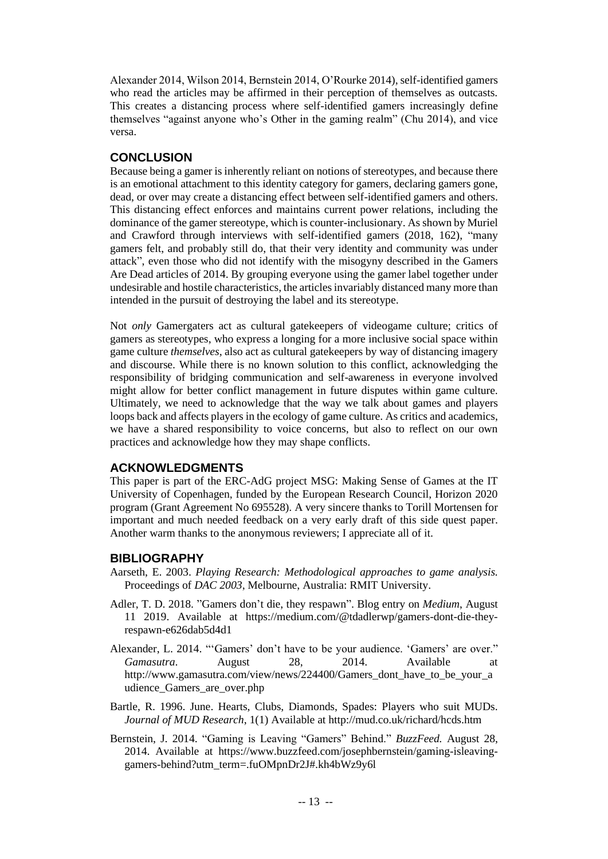Alexander 2014, Wilson 2014, Bernstein 2014, O'Rourke 2014), self-identified gamers who read the articles may be affirmed in their perception of themselves as outcasts. This creates a distancing process where self-identified gamers increasingly define themselves "against anyone who's Other in the gaming realm" (Chu 2014), and vice versa.

# **CONCLUSION**

Because being a gamer is inherently reliant on notions of stereotypes, and because there is an emotional attachment to this identity category for gamers, declaring gamers gone, dead, or over may create a distancing effect between self-identified gamers and others. This distancing effect enforces and maintains current power relations, including the dominance of the gamer stereotype, which is counter-inclusionary. As shown by Muriel and Crawford through interviews with self-identified gamers (2018, 162), "many gamers felt, and probably still do, that their very identity and community was under attack", even those who did not identify with the misogyny described in the Gamers Are Dead articles of 2014. By grouping everyone using the gamer label together under undesirable and hostile characteristics, the articles invariably distanced many more than intended in the pursuit of destroying the label and its stereotype.

Not *only* Gamergaters act as cultural gatekeepers of videogame culture; critics of gamers as stereotypes, who express a longing for a more inclusive social space within game culture *themselves,* also act as cultural gatekeepers by way of distancing imagery and discourse. While there is no known solution to this conflict, acknowledging the responsibility of bridging communication and self-awareness in everyone involved might allow for better conflict management in future disputes within game culture. Ultimately, we need to acknowledge that the way we talk about games and players loops back and affects players in the ecology of game culture. As critics and academics, we have a shared responsibility to voice concerns, but also to reflect on our own practices and acknowledge how they may shape conflicts.

## **ACKNOWLEDGMENTS**

This paper is part of the ERC-AdG project MSG: Making Sense of Games at the IT University of Copenhagen, funded by the European Research Council, Horizon 2020 program (Grant Agreement No 695528). A very sincere thanks to Torill Mortensen for important and much needed feedback on a very early draft of this side quest paper. Another warm thanks to the anonymous reviewers; I appreciate all of it.

## **BIBLIOGRAPHY**

- Aarseth, E. 2003. *Playing Research: Methodological approaches to game analysis.*  Proceedings of *DAC 2003*, Melbourne, Australia: RMIT University.
- Adler, T. D. 2018. "Gamers don't die, they respawn". Blog entry on *Medium*, August 11 2019. Available at [https://medium.com/@tdadlerwp/gamers-dont-die-they](https://medium.com/@tdadlerwp/gamers-dont-die-they-respawn-e626dab5d4d1)[respawn-e626dab5d4d1](https://medium.com/@tdadlerwp/gamers-dont-die-they-respawn-e626dab5d4d1)
- Alexander, L. 2014. "'Gamers' don't have to be your audience. 'Gamers' are over." *Gamasutra*. August 28, 2014. Available at http://www.gamasutra.com/view/news/224400/Gamers\_dont\_have\_to\_be\_your\_a udience\_Gamers\_are\_over.php
- Bartle, R. 1996. June. Hearts, Clubs, Diamonds, Spades: Players who suit MUDs. *Journal of MUD Research*, 1(1) Available at <http://mud.co.uk/richard/hcds.htm>
- Bernstein, J. 2014. "Gaming is Leaving "Gamers" Behind." *BuzzFeed.* August 28, 2014. Available at https://www.buzzfeed.com/josephbernstein/gaming-isleavinggamers-behind?utm\_term=.fuOMpnDr2J#.kh4bWz9y6l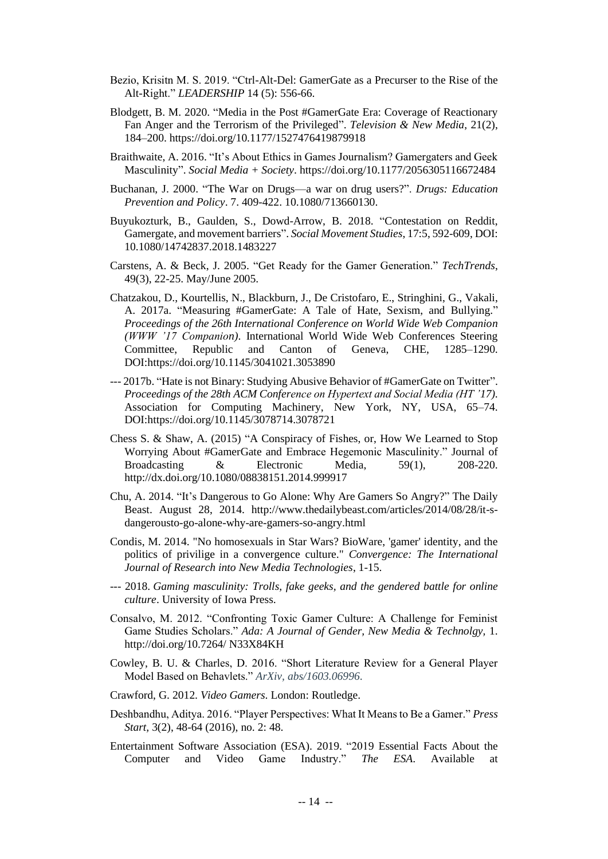- Bezio, Krisitn M. S. 2019. "Ctrl-Alt-Del: GamerGate as a Precurser to the Rise of the Alt-Right." *LEADERSHIP* 14 (5): 556-66.
- Blodgett, B. M. 2020. "Media in the Post #GamerGate Era: Coverage of Reactionary Fan Anger and the Terrorism of the Privileged". *Television & New Media*, 21(2), 184–200.<https://doi.org/10.1177/1527476419879918>
- Braithwaite, A. 2016. "It's About Ethics in Games Journalism? Gamergaters and Geek Masculinity". *Social Media + Society*.<https://doi.org/10.1177/2056305116672484>
- Buchanan, J. 2000. "The War on Drugs—a war on drug users?". *Drugs: Education Prevention and Policy*. 7. 409-422. 10.1080/713660130.
- Buyukozturk, B., Gaulden, S., Dowd-Arrow, B. 2018. "Contestation on Reddit, Gamergate, and movement barriers". *Social Movement Studies*, 17:5, 592-609, DOI: 10.1080/14742837.2018.1483227
- Carstens, A. & Beck, J. 2005. "Get Ready for the Gamer Generation." *TechTrends*, 49(3), 22-25. May/June 2005.
- Chatzakou, D., Kourtellis, N., Blackburn, J., De Cristofaro, E., Stringhini, G., Vakali, A. 2017a. "Measuring #GamerGate: A Tale of Hate, Sexism, and Bullying." *Proceedings of the 26th International Conference on World Wide Web Companion (WWW '17 Companion)*. International World Wide Web Conferences Steering Committee, Republic and Canton of Geneva, CHE, 1285–1290. DOI:https://doi.org/10.1145/3041021.3053890
- --- 2017b. "Hate is not Binary: Studying Abusive Behavior of #GamerGate on Twitter". *Proceedings of the 28th ACM Conference on Hypertext and Social Media (HT '17)*. Association for Computing Machinery, New York, NY, USA, 65–74. DOI:https://doi.org/10.1145/3078714.3078721
- Chess S. & Shaw, A. (2015) "A Conspiracy of Fishes, or, How We Learned to Stop Worrying About #GamerGate and Embrace Hegemonic Masculinity." Journal of Broadcasting & Electronic Media, 59(1), 208-220. <http://dx.doi.org/10.1080/08838151.2014.999917>
- Chu, A. 2014. "It's Dangerous to Go Alone: Why Are Gamers So Angry?" The Daily Beast. August 28, 2014. [http://www.thedailybeast.com/articles/2014/08/28/it-s](http://www.thedailybeast.com/articles/2014/08/28/it-s-dangerousto-go-alone-why-are-gamers-so-angry.html)[dangerousto-go-alone-why-are-gamers-so-angry.html](http://www.thedailybeast.com/articles/2014/08/28/it-s-dangerousto-go-alone-why-are-gamers-so-angry.html)
- Condis, M. 2014. "No homosexuals in Star Wars? BioWare, 'gamer' identity, and the politics of privilige in a convergence culture." *Convergence: The International Journal of Research into New Media Technologies*, 1-15.
- --- 2018. *Gaming masculinity: Trolls, fake geeks, and the gendered battle for online culture*. University of Iowa Press.
- Consalvo, M. 2012. "Confronting Toxic Gamer Culture: A Challenge for Feminist Game Studies Scholars." *Ada: A Journal of Gender, New Media & Technolgy,* 1. http://doi.org/10.7264/ N33X84KH
- Cowley, B. U. & Charles, D. 2016. "Short Literature Review for a General Player Model Based on Behavlets." *ArXiv, abs/1603.06996*.
- Crawford, G. 2012. *Video Gamers*. London: Routledge.
- Deshbandhu, Aditya. 2016. "Player Perspectives: What It Means to Be a Gamer." *Press Start,* 3(2), 48-64 (2016), no. 2: 48.
- Entertainment Software Association (ESA). 2019. "2019 Essential Facts About the Computer and Video Game Industry." *The ESA*. Available at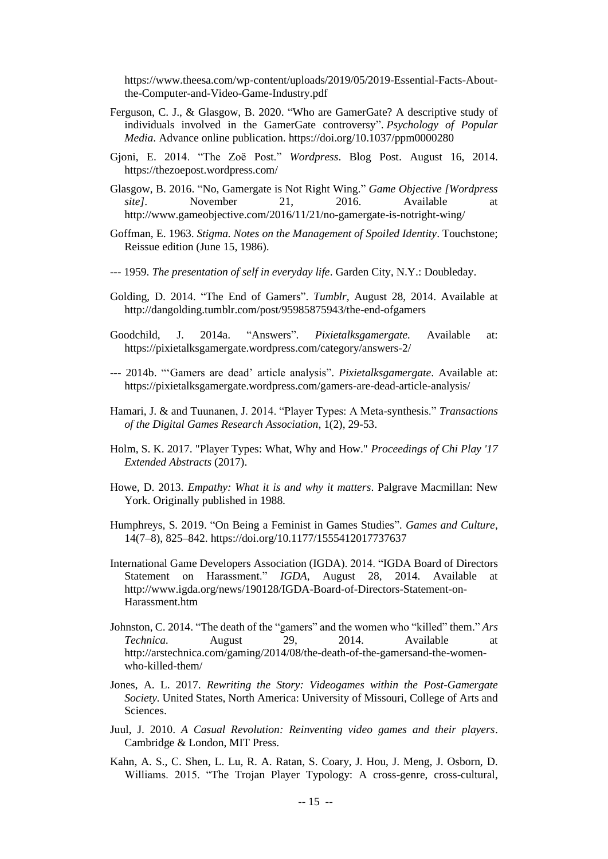[https://www.theesa.com/wp-content/uploads/2019/05/2019-Essential-Facts-About](https://www.theesa.com/wp-content/uploads/2019/05/2019-Essential-Facts-About-the-Computer-and-Video-Game-Industry.pdf)[the-Computer-and-Video-Game-Industry.pdf](https://www.theesa.com/wp-content/uploads/2019/05/2019-Essential-Facts-About-the-Computer-and-Video-Game-Industry.pdf)

- Ferguson, C. J., & Glasgow, B. 2020. "Who are GamerGate? A descriptive study of individuals involved in the GamerGate controversy". *Psychology of Popular Media*. Advance online publication. [https://doi.org/10.1037/ppm0000280](https://psycnet.apa.org/doi/10.1037/ppm0000280)
- Gjoni, E. 2014. "The Zoë Post." *Wordpress*. Blog Post. August 16, 2014. <https://thezoepost.wordpress.com/>
- Glasgow, B. 2016. "No, Gamergate is Not Right Wing." *Game Objective [Wordpress site]*. November 21, 2016. Available at http://www.gameobjective.com/2016/11/21/no-gamergate-is-notright-wing/
- Goffman, E. 1963. *Stigma. Notes on the Management of Spoiled Identity*. Touchstone; Reissue edition (June 15, 1986).
- --- 1959. *The presentation of self in everyday life*. Garden City, N.Y.: Doubleday.
- Golding, D. 2014. "The End of Gamers". *Tumblr,* August 28, 2014. Available at <http://dangolding.tumblr.com/post/95985875943/the-end-ofgamers>
- Goodchild, J. 2014a. "Answers". *Pixietalksgamergate.* Available at: <https://pixietalksgamergate.wordpress.com/category/answers-2/>
- --- 2014b. "'Gamers are dead' article analysis". *Pixietalksgamergate*. Available at: https://pixietalksgamergate.wordpress.com/gamers-are-dead-article-analysis/
- Hamari, J. & and Tuunanen, J. 2014. "Player Types: A Meta-synthesis." *Transactions of the Digital Games Research Association*, 1(2), 29-53.
- Holm, S. K. 2017. "Player Types: What, Why and How." *Proceedings of Chi Play '17 Extended Abstracts* (2017).
- Howe, D. 2013. *Empathy: What it is and why it matters*. Palgrave Macmillan: New York. Originally published in 1988.
- Humphreys, S. 2019. "On Being a Feminist in Games Studies". *Games and Culture*, 14(7–8), 825–842.<https://doi.org/10.1177/1555412017737637>
- International Game Developers Association (IGDA). 2014. "IGDA Board of Directors Statement on Harassment." *IGDA*, August 28, 2014. Available at http://www.igda.org/news/190128/IGDA-Board-of-Directors-Statement-on-Harassment.htm
- Johnston, C. 2014. "The death of the "gamers" and the women who "killed" them." *Ars Technica.* August 29, 2014. Available at http://arstechnica.com/gaming/2014/08/the-death-of-the-gamersand-the-womenwho-killed-them/
- Jones, A. L. 2017. *Rewriting the Story: Videogames within the Post-Gamergate Society.* United States, North America: University of Missouri, College of Arts and **Sciences**
- Juul, J. 2010. *A Casual Revolution: Reinventing video games and their players*. Cambridge & London, MIT Press.
- Kahn, A. S., C. Shen, L. Lu, R. A. Ratan, S. Coary, J. Hou, J. Meng, J. Osborn, D. Williams. 2015. "The Trojan Player Typology: A cross-genre, cross-cultural,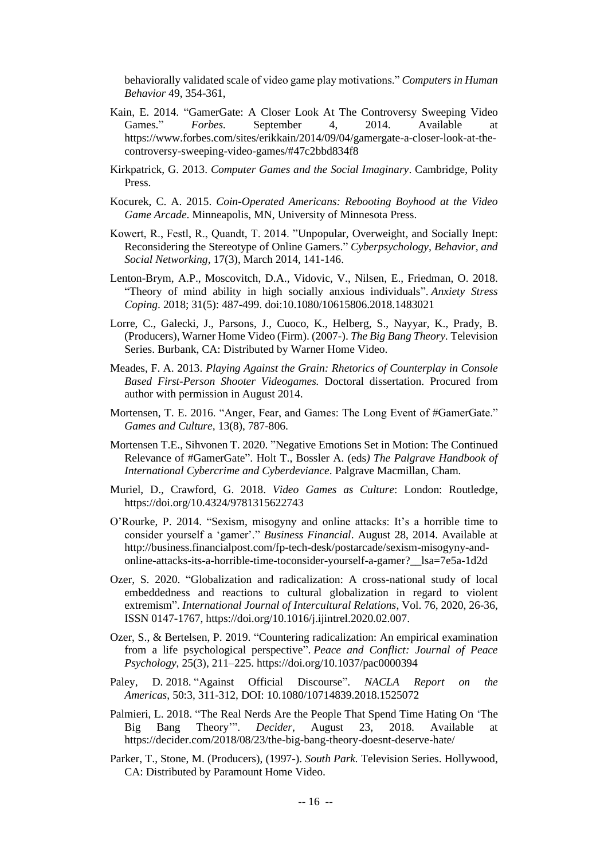behaviorally validated scale of video game play motivations." *Computers in Human Behavior* 49, 354-361,

- Kain, E. 2014. "GamerGate: A Closer Look At The Controversy Sweeping Video Games." *Forbes.* September 4, 2014. Available at https://www.forbes.com/sites/erikkain/2014/09/04/gamergate-a-closer-look-at-thecontroversy-sweeping-video-games/#47c2bbd834f8
- Kirkpatrick, G. 2013. *Computer Games and the Social Imaginary*. Cambridge, Polity Press.
- Kocurek, C. A. 2015. *Coin-Operated Americans: Rebooting Boyhood at the Video Game Arcade*. Minneapolis, MN, University of Minnesota Press.
- Kowert, R., Festl, R., Quandt, T. 2014. "Unpopular, Overweight, and Socially Inept: Reconsidering the Stereotype of Online Gamers." *Cyberpsychology, Behavior, and Social Networking,* 17(3), March 2014, 141-146.
- Lenton-Brym, A.P., Moscovitch, D.A., Vidovic, V., Nilsen, E., Friedman, O. 2018. "Theory of mind ability in high socially anxious individuals". *Anxiety Stress Coping*. 2018; 31(5): 487-499. doi:10.1080/10615806.2018.1483021
- Lorre, C., Galecki, J., Parsons, J., Cuoco, K., Helberg, S., Nayyar, K., Prady, B. (Producers), Warner Home Video (Firm). (2007-). *The Big Bang Theory.* Television Series. Burbank, CA: Distributed by Warner Home Video.
- Meades, F. A. 2013. *Playing Against the Grain: Rhetorics of Counterplay in Console Based First-Person Shooter Videogames.* Doctoral dissertation. Procured from author with permission in August 2014.
- Mortensen, T. E. 2016. "Anger, Fear, and Games: The Long Event of #GamerGate." *Games and Culture,* 13(8), 787-806.
- Mortensen T.E., Sihvonen T. 2020. "Negative Emotions Set in Motion: The Continued Relevance of #GamerGate". Holt T., Bossler A. (eds*) The Palgrave Handbook of International Cybercrime and Cyberdeviance*. Palgrave Macmillan, Cham.
- Muriel, D., Crawford, G. 2018. *Video Games as Culture*: London: Routledge, https://doi.org/10.4324/9781315622743
- O'Rourke, P. 2014. "Sexism, misogyny and online attacks: It's a horrible time to consider yourself a 'gamer'." *Business Financial*. August 28, 2014. Available at [http://business.financialpost.com/fp-tech-desk/postarcade/sexism-misogyny-and](http://business.financialpost.com/fp-tech-desk/postarcade/sexism-misogyny-and-online-attacks-its-a-horrible-time-toconsider-yourself-a-gamer?__lsa=7e5a-1d2d)[online-attacks-its-a-horrible-time-toconsider-yourself-a-gamer?\\_\\_lsa=7e5a-1d2d](http://business.financialpost.com/fp-tech-desk/postarcade/sexism-misogyny-and-online-attacks-its-a-horrible-time-toconsider-yourself-a-gamer?__lsa=7e5a-1d2d)
- Ozer, S. 2020. "Globalization and radicalization: A cross-national study of local embeddedness and reactions to cultural globalization in regard to violent extremism". *International Journal of Intercultural Relations*, Vol. 76, 2020, 26-36, ISSN 0147-1767, [https://doi.org/10.1016/j.ijintrel.2020.02.007.](https://doi.org/10.1016/j.ijintrel.2020.02.007)
- Ozer, S., & Bertelsen, P. 2019. "Countering radicalization: An empirical examination from a life psychological perspective". *Peace and Conflict: Journal of Peace Psychology*, 25(3), 211–225. [https://doi.org/10.1037/pac0000394](https://psycnet.apa.org/doi/10.1037/pac0000394)
- Paley, D. 2018. "Against Official Discourse". *NACLA Report on the Americas*, 50:3, 311-312, DOI: [10.1080/10714839.2018.1525072](https://doi.org/10.1080/10714839.2018.1525072)
- Palmieri, L. 2018. "The Real Nerds Are the People That Spend Time Hating On 'The Big Bang Theory'". *Decider*, August 23, 2018. Available <https://decider.com/2018/08/23/the-big-bang-theory-doesnt-deserve-hate/>
- Parker, T., Stone, M. (Producers), (1997-). *South Park.* Television Series. Hollywood, CA: Distributed by Paramount Home Video.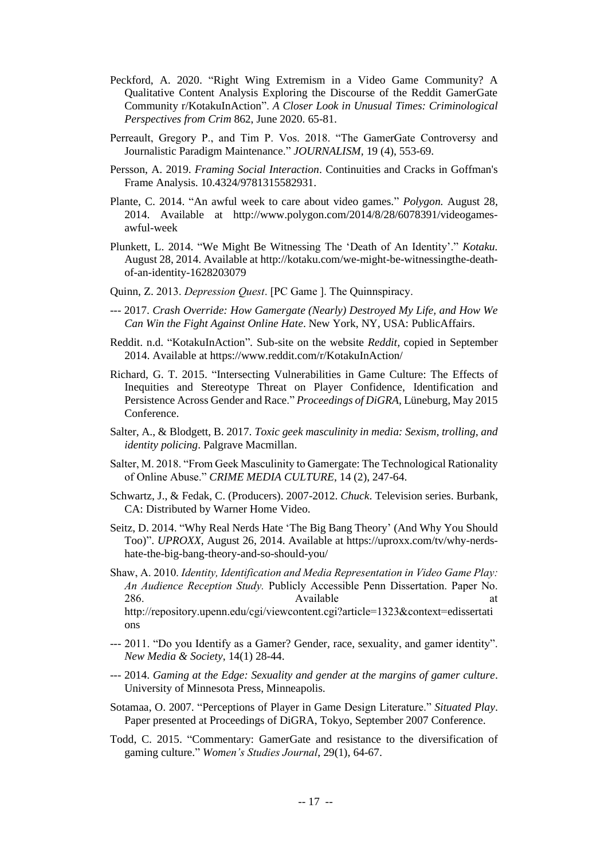- Peckford, A. 2020. "Right Wing Extremism in a Video Game Community? A Qualitative Content Analysis Exploring the Discourse of the Reddit GamerGate Community r/KotakuInAction". *A Closer Look in Unusual Times: Criminological Perspectives from Crim* 862, June 2020. 65-81.
- Perreault, Gregory P., and Tim P. Vos. 2018. "The GamerGate Controversy and Journalistic Paradigm Maintenance." *JOURNALISM,* 19 (4), 553-69.
- Persson, A. 2019. *Framing Social Interaction*. Continuities and Cracks in Goffman's Frame Analysis. 10.4324/9781315582931.
- Plante, C. 2014. "An awful week to care about video games." *Polygon.* August 28, 2014. Available at http://www.polygon.com/2014/8/28/6078391/videogamesawful-week
- Plunkett, L. 2014. "We Might Be Witnessing The 'Death of An Identity'." *Kotaku.*  August 28, 2014. Available at http://kotaku.com/we-might-be-witnessingthe-deathof-an-identity-1628203079
- Quinn, Z. 2013. *Depression Quest*. [PC Game ]. The Quinnspiracy.
- --- 2017. *Crash Override: How Gamergate (Nearly) Destroyed My Life, and How We Can Win the Fight Against Online Hate*. New York, NY, USA: PublicAffairs.
- Reddit. n.d. "KotakuInAction"*.* Sub-site on the website *Reddit,* copied in September 2014. Available at https://www.reddit.com/r/KotakuInAction/
- Richard, G. T. 2015. "Intersecting Vulnerabilities in Game Culture: The Effects of Inequities and Stereotype Threat on Player Confidence, Identification and Persistence Across Gender and Race." *Proceedings of DiGRA*, Lüneburg, May 2015 Conference.
- Salter, A., & Blodgett, B. 2017. *Toxic geek masculinity in media: Sexism, trolling, and identity policing*. Palgrave Macmillan.
- Salter, M. 2018. "From Geek Masculinity to Gamergate: The Technological Rationality of Online Abuse." *CRIME MEDIA CULTURE*, 14 (2), 247-64.
- Schwartz, J., & Fedak, C. (Producers). 2007-2012. *Chuck*. Television series. Burbank, CA: Distributed by Warner Home Video.
- Seitz, D. 2014. "Why Real Nerds Hate 'The Big Bang Theory' (And Why You Should Too)". *UPROXX,* August 26, 2014. Available at [https://uproxx.com/tv/why-nerds](https://uproxx.com/tv/why-nerds-hate-the-big-bang-theory-and-so-should-you/)[hate-the-big-bang-theory-and-so-should-you/](https://uproxx.com/tv/why-nerds-hate-the-big-bang-theory-and-so-should-you/)
- Shaw, A. 2010. *Identity, Identification and Media Representation in Video Game Play: An Audience Reception Study.* Publicly Accessible Penn Dissertation. Paper No. 286. **Available** at the same state at the same state at the same state at the same state at the same state at the same state at  $\alpha$ http://repository.upenn.edu/cgi/viewcontent.cgi?article=1323&context=edissertati ons
- --- 2011. "Do you Identify as a Gamer? Gender, race, sexuality, and gamer identity". *New Media & Society*, 14(1) 28-44.
- --- 2014. *Gaming at the Edge: Sexuality and gender at the margins of gamer culture*. University of Minnesota Press, Minneapolis.
- Sotamaa, O. 2007. "Perceptions of Player in Game Design Literature." *Situated Play*. Paper presented at Proceedings of DiGRA, Tokyo, September 2007 Conference.
- Todd, C. 2015. "Commentary: GamerGate and resistance to the diversification of gaming culture." *Women's Studies Journal*, 29(1), 64-67.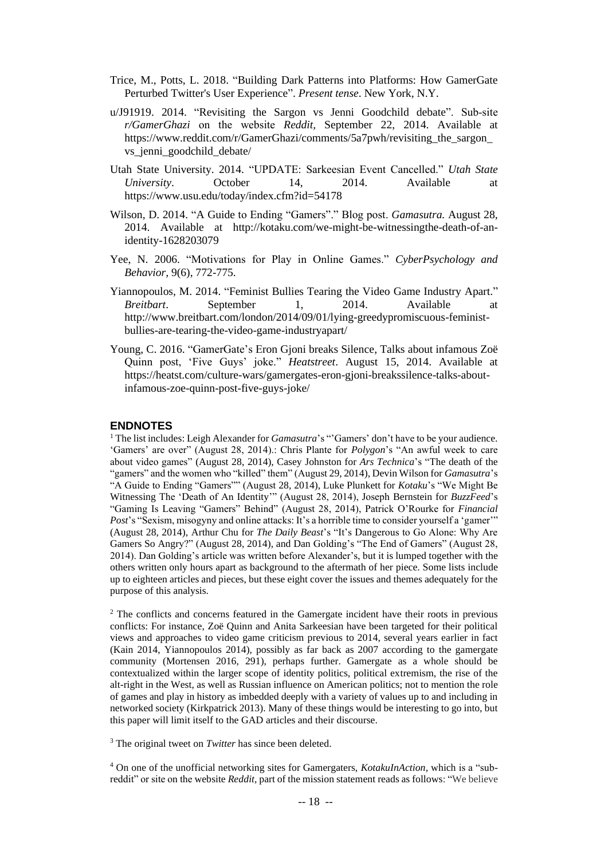- Trice, M., Potts, L. 2018. "Building Dark Patterns into Platforms: How GamerGate Perturbed Twitter's User Experience". *Present tense*. New York, N.Y.
- [u/J91919.](https://www.reddit.com/user/J91919/) 2014. "Revisiting the Sargon vs Jenni Goodchild debate". Sub-site *r/GamerGhazi* on the website *Reddit,* September 22, 2014. Available at [https://www.reddit.com/r/GamerGhazi/comments/5a7pwh/revisiting\\_the\\_sargon\\_](https://www.reddit.com/r/GamerGhazi/comments/5a7pwh/revisiting_the_sargon_vs_jenni_goodchild_debate/) [vs\\_jenni\\_goodchild\\_debate/](https://www.reddit.com/r/GamerGhazi/comments/5a7pwh/revisiting_the_sargon_vs_jenni_goodchild_debate/)
- Utah State University. 2014. "UPDATE: Sarkeesian Event Cancelled." *Utah State University*. October 14, 2014. Available at https://www.usu.edu/today/index.cfm?id=54178
- Wilson, D. 2014. "A Guide to Ending "Gamers"." Blog post. *Gamasutra.* August 28, 2014. Available at [http://kotaku.com/we-might-be-witnessingthe-death-of-an](http://kotaku.com/we-might-be-witnessingthe-death-of-an-identity-1628203079)[identity-1628203079](http://kotaku.com/we-might-be-witnessingthe-death-of-an-identity-1628203079)
- Yee, N. 2006. "Motivations for Play in Online Games." *CyberPsychology and Behavior,* 9(6), 772-775.
- Yiannopoulos, M. 2014. "Feminist Bullies Tearing the Video Game Industry Apart." *Breitbart*. September 1, 2014. Available at http://www.breitbart.com/london/2014/09/01/lying-greedypromiscuous-feministbullies-are-tearing-the-video-game-industryapart/
- Young, C. 2016. "GamerGate's Eron Gjoni breaks Silence, Talks about infamous Zoë Quinn post, 'Five Guys' joke." *Heatstreet*. August 15, 2014. Available at https://heatst.com/culture-wars/gamergates-eron-gjoni-breakssilence-talks-aboutinfamous-zoe-quinn-post-five-guys-joke/

#### **ENDNOTES**

<sup>1</sup> The list includes: Leigh Alexander for *Gamasutra*'s "'Gamers' don't have to be your audience. 'Gamers' are over" (August 28, 2014).: Chris Plante for *Polygon*'s "An awful week to care about video games" (August 28, 2014), Casey Johnston for *Ars Technica*'s "The death of the "gamers" and the women who "killed" them" (August 29, 2014), Devin Wilson for *Gamasutra*'s "A Guide to Ending "Gamers"" (August 28, 2014), Luke Plunkett for *Kotaku*'s "We Might Be Witnessing The 'Death of An Identity'" (August 28, 2014), Joseph Bernstein for *BuzzFeed*'s "Gaming Is Leaving "Gamers" Behind" (August 28, 2014), Patrick O'Rourke for *Financial Post*'s "Sexism, misogyny and online attacks: It's a horrible time to consider yourself a 'gamer'" (August 28, 2014), Arthur Chu for *The Daily Beast*'s "It's Dangerous to Go Alone: Why Are Gamers So Angry?" (August 28, 2014), and Dan Golding's "The End of Gamers" (August 28, 2014). Dan Golding's article was written before Alexander's, but it is lumped together with the others written only hours apart as background to the aftermath of her piece. Some lists include up to eighteen articles and pieces, but these eight cover the issues and themes adequately for the purpose of this analysis.

<sup>2</sup> The conflicts and concerns featured in the Gamergate incident have their roots in previous conflicts: For instance, Zoë Quinn and Anita Sarkeesian have been targeted for their political views and approaches to video game criticism previous to 2014, several years earlier in fact (Kain 2014, Yiannopoulos 2014), possibly as far back as 2007 according to the gamergate community (Mortensen 2016, 291), perhaps further. Gamergate as a whole should be contextualized within the larger scope of identity politics, political extremism, the rise of the alt-right in the West, as well as Russian influence on American politics; not to mention the role of games and play in history as imbedded deeply with a variety of values up to and including in networked society (Kirkpatrick 2013). Many of these things would be interesting to go into, but this paper will limit itself to the GAD articles and their discourse.

<sup>3</sup> The original tweet on *Twitter* has since been deleted.

<sup>4</sup> On one of the unofficial networking sites for Gamergaters, *KotakuInAction*, which is a "subreddit" or site on the website *Reddit*, part of the mission statement reads as follows: "We believe